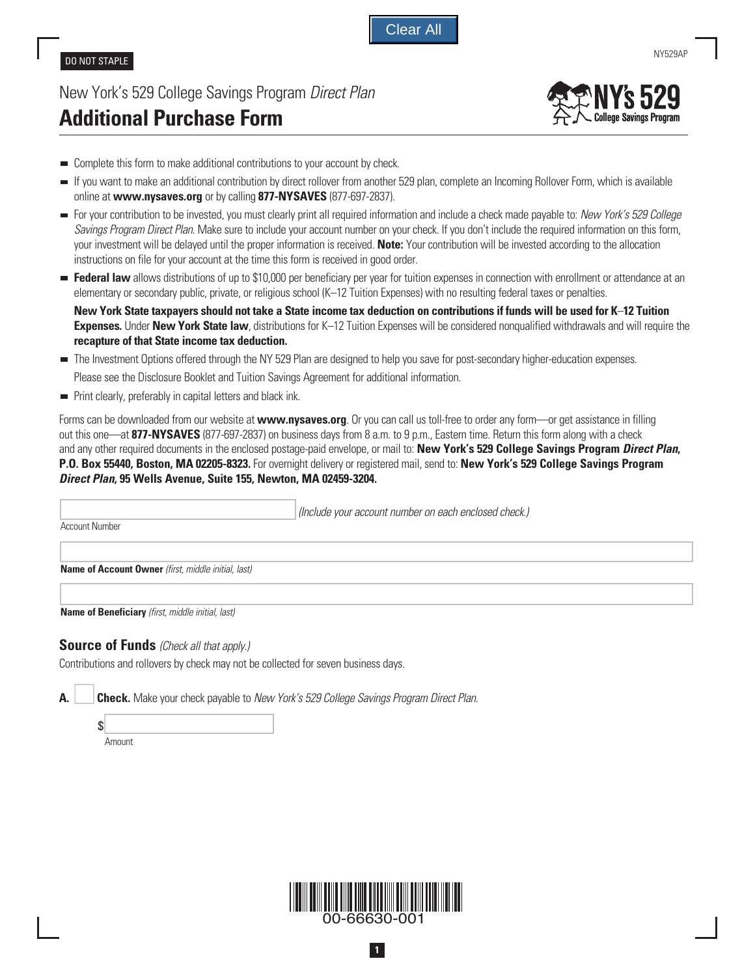Clear All

## DO NOT STAPLE

## New York's 529 College Savings Program *Direct Plan* **Additional Purchase Form**



- Complete this form to make additional contributions to your account by check.
- If you want to make an additional contribution by direct rollover from another 529 plan, complete an Incoming Rollover Form, which is available online at **www.nysaves.org** or by calling **877-NYSAVES** (877-697-2837).
- For your contribution to be invested, you must clearly print all required information and include a check made payable to: *New York's 529 College Savings Program Direct Plan*. Make sure to include your account number on your check. If you don't include the required information on this form, your investment will be delayed until the proper information is received. **Note:** Your contribution will be invested according to the allocation instructions on file for your account at the time this form is received in good order.
- **Federal law** allows distributions of up to \$10,000 per beneficiary per year for tuition expenses in connection with enrollment or attendance at an elementary or secondary public, private, or religious school (K–12 Tuition Expenses) with no resulting federal taxes or penalties.

 **New York State taxpayers should not take a State income tax deduction on contributions if funds will be used for K**–**12 Tuition Expenses.** Under **New York State law**, distributions for K–12 Tuition Expenses will be considered nonqualified withdrawals and will require the **recapture of that State income tax deduction.**

- The Investment Options offered through the NY 529 Plan are designed to help you save for post-secondary higher-education expenses. Please see the Disclosure Booklet and Tuition Savings Agreement for additional information.
- **Print clearly, preferably in capital letters and black ink.**

Forms can be downloaded from our website at **www.nysaves.org**. Or you can call us toll-free to order any form—or get assistance in filling out this one—at **877-NYSAVES** (877-697-2837) on business days from 8 a.m. to 9 p.m., Eastern time. Return this form along with a check and any other required documents in the enclosed postage-paid envelope, or mail to: **New York's 529 College Savings Program** *Direct Plan***, P.O. Box 55440, Boston, MA 02205-8323.** For overnight delivery or registered mail, send to: **New York's 529 College Savings Program**  *Direct Plan***, 95 Wells Avenue, Suite 155, Newton, MA 02459-3204.**

| <b>Account Number</b>                                      | (Include your account number on each enclosed check.) |
|------------------------------------------------------------|-------------------------------------------------------|
| <b>Name of Account Owner</b> (first, middle initial, last) |                                                       |
| <b>Name of Beneficiary</b> (first, middle initial, last)   |                                                       |

## **Source of Funds** *(Check all that apply.)*

Contributions and rollovers by check may not be collected for seven business days.

 $\mathcal{S}$ 

**A. Check.** Make your check payable to *New York's 529 College Savings Program Direct Plan*.

Amount



**1**